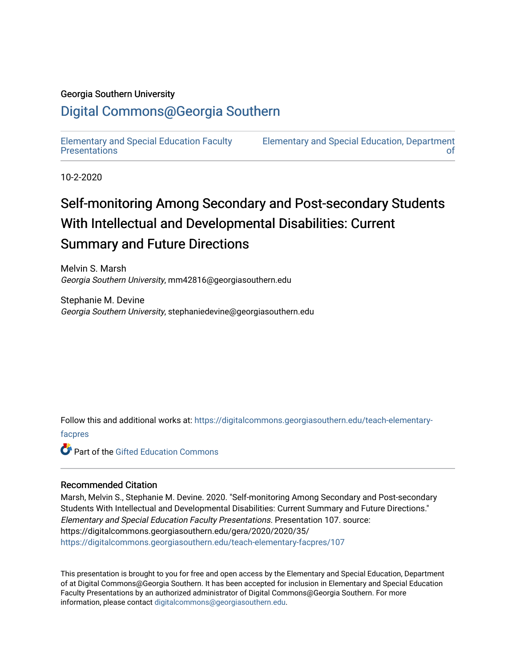#### Georgia Southern University

### [Digital Commons@Georgia Southern](https://digitalcommons.georgiasouthern.edu/)

[Elementary and Special Education Faculty](https://digitalcommons.georgiasouthern.edu/teach-elementary-facpres)  **Presentations** 

[Elementary and Special Education, Department](https://digitalcommons.georgiasouthern.edu/teach-elementary)  [of](https://digitalcommons.georgiasouthern.edu/teach-elementary) 

10-2-2020

### Self-monitoring Among Secondary and Post-secondary Students With Intellectual and Developmental Disabilities: Current Summary and Future Directions

Melvin S. Marsh Georgia Southern University, mm42816@georgiasouthern.edu

Stephanie M. Devine Georgia Southern University, stephaniedevine@georgiasouthern.edu

Follow this and additional works at: [https://digitalcommons.georgiasouthern.edu/teach-elementary-](https://digitalcommons.georgiasouthern.edu/teach-elementary-facpres?utm_source=digitalcommons.georgiasouthern.edu%2Fteach-elementary-facpres%2F107&utm_medium=PDF&utm_campaign=PDFCoverPages)

[facpres](https://digitalcommons.georgiasouthern.edu/teach-elementary-facpres?utm_source=digitalcommons.georgiasouthern.edu%2Fteach-elementary-facpres%2F107&utm_medium=PDF&utm_campaign=PDFCoverPages) 

**C** Part of the Gifted Education Commons

#### Recommended Citation

Marsh, Melvin S., Stephanie M. Devine. 2020. "Self-monitoring Among Secondary and Post-secondary Students With Intellectual and Developmental Disabilities: Current Summary and Future Directions." Elementary and Special Education Faculty Presentations. Presentation 107. source: https://digitalcommons.georgiasouthern.edu/gera/2020/2020/35/ [https://digitalcommons.georgiasouthern.edu/teach-elementary-facpres/107](https://digitalcommons.georgiasouthern.edu/teach-elementary-facpres/107?utm_source=digitalcommons.georgiasouthern.edu%2Fteach-elementary-facpres%2F107&utm_medium=PDF&utm_campaign=PDFCoverPages)

This presentation is brought to you for free and open access by the Elementary and Special Education, Department of at Digital Commons@Georgia Southern. It has been accepted for inclusion in Elementary and Special Education Faculty Presentations by an authorized administrator of Digital Commons@Georgia Southern. For more information, please contact [digitalcommons@georgiasouthern.edu](mailto:digitalcommons@georgiasouthern.edu).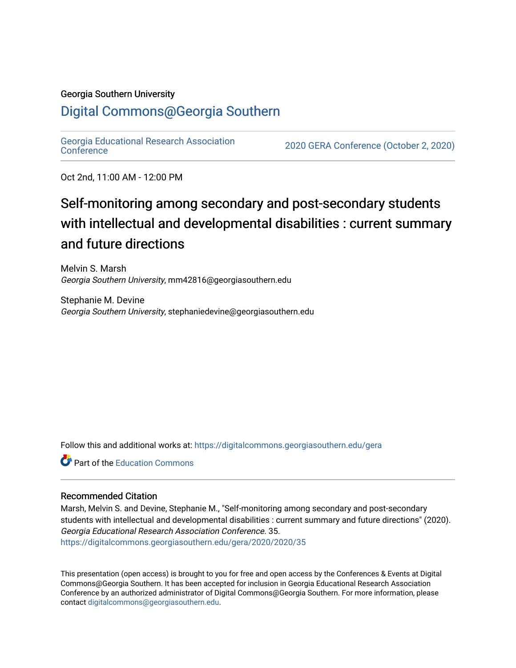#### Georgia Southern University

#### [Digital Commons@Georgia Southern](https://digitalcommons.georgiasouthern.edu/)

[Georgia Educational Research Association](https://digitalcommons.georgiasouthern.edu/gera) 

2020 GERA [Conference](https://digitalcommons.georgiasouthern.edu/gera) (October 2, 2020)

Oct 2nd, 11:00 AM - 12:00 PM

### Self-monitoring among secondary and post-secondary students with intellectual and developmental disabilities : current summary and future directions

Melvin S. Marsh Georgia Southern University, mm42816@georgiasouthern.edu

Stephanie M. Devine Georgia Southern University, stephaniedevine@georgiasouthern.edu

Follow this and additional works at: [https://digitalcommons.georgiasouthern.edu/gera](https://digitalcommons.georgiasouthern.edu/gera?utm_source=digitalcommons.georgiasouthern.edu%2Fgera%2F2020%2F2020%2F35&utm_medium=PDF&utm_campaign=PDFCoverPages)

**Part of the [Education Commons](http://network.bepress.com/hgg/discipline/784?utm_source=digitalcommons.georgiasouthern.edu%2Fgera%2F2020%2F2020%2F35&utm_medium=PDF&utm_campaign=PDFCoverPages)** 

#### Recommended Citation

Marsh, Melvin S. and Devine, Stephanie M., "Self-monitoring among secondary and post-secondary students with intellectual and developmental disabilities : current summary and future directions" (2020). Georgia Educational Research Association Conference. 35. [https://digitalcommons.georgiasouthern.edu/gera/2020/2020/35](https://digitalcommons.georgiasouthern.edu/gera/2020/2020/35?utm_source=digitalcommons.georgiasouthern.edu%2Fgera%2F2020%2F2020%2F35&utm_medium=PDF&utm_campaign=PDFCoverPages)

This presentation (open access) is brought to you for free and open access by the Conferences & Events at Digital Commons@Georgia Southern. It has been accepted for inclusion in Georgia Educational Research Association Conference by an authorized administrator of Digital Commons@Georgia Southern. For more information, please contact [digitalcommons@georgiasouthern.edu](mailto:digitalcommons@georgiasouthern.edu).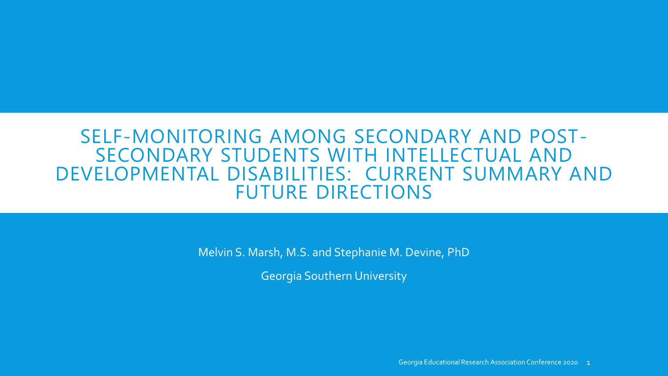### SELF-MONITORING AMONG SECONDARY AND POST- SECONDARY STUDENTS WITH INTELLECTUAL AND DEVELOPMENTAL DISABILITIES: CURRENT SUMMARY AND FUTURE DIRECTIONS

Melvin S. Marsh, M.S. and Stephanie M. Devine, PhD

Georgia Southern University

Georgia Educational Research Association Conference 2020 1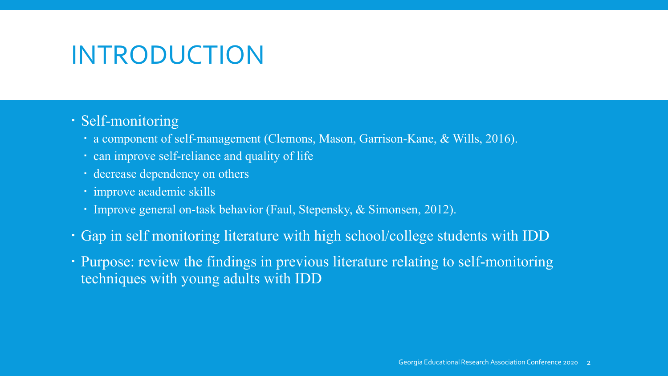## INTRODUCTION

### Self-monitoring

- a component of self-management (Clemons, Mason, Garrison-Kane, & Wills, 2016).
- can improve self-reliance and quality of life
- decrease dependency on others
- · improve academic skills
- Improve general on-task behavior (Faul, Stepensky, & Simonsen, 2012).
- Gap in self monitoring literature with high school/college students with IDD
- Purpose: review the findings in previous literature relating to self-monitoring techniques with young adults with IDD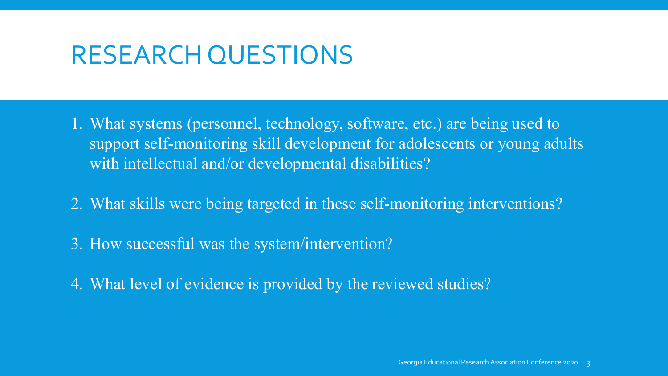### RESEARCH QUESTIONS

- 1. What systems (personnel, technology, software, etc.) are being used to support self-monitoring skill development for adolescents or young adults with intellectual and/or developmental disabilities?
- 2. What skills were being targeted in these self-monitoring interventions?
- 3. How successful was the system/intervention?
- 4. What level of evidence is provided by the reviewed studies?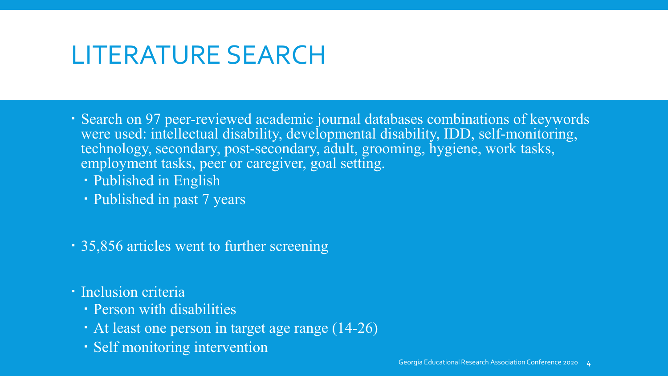## LITERATURE SEARCH

- Search on 97 peer-reviewed academic journal databases combinations of keywords were used: intellectual disability, developmental disability, IDD, self-monitoring, technology, secondary, post-secondary, adult, grooming, hygiene, work tasks, employment tasks, peer or caregiver, goal setting.
	- Published in English
	- Published in past 7 years
- 35,856 articles went to further screening
- Inclusion criteria
	- Person with disabilities
	- At least one person in target age range (14-26)
	- Self monitoring intervention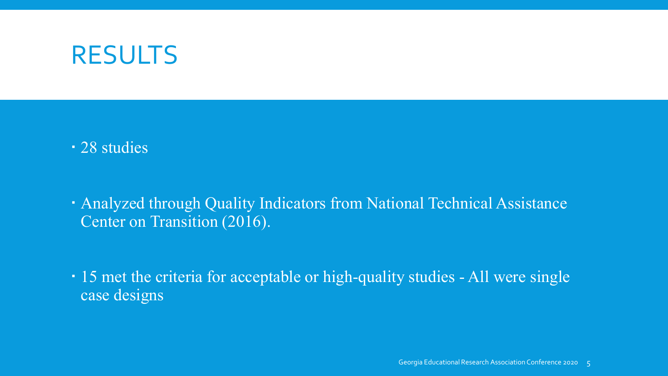### RESULTS

28 studies

 Analyzed through Quality Indicators from National Technical Assistance Center on Transition (2016).

 15 met the criteria for acceptable or high-quality studies - All were single case designs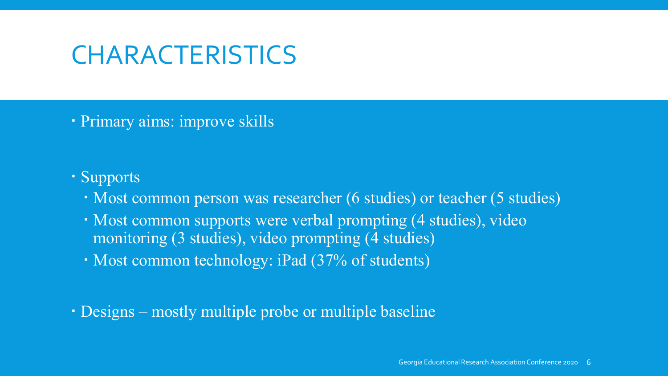## **CHARACTERISTICS**

Primary aims: improve skills

### Supports

- Most common person was researcher (6 studies) or teacher (5 studies)
- Most common supports were verbal prompting (4 studies), video monitoring (3 studies), video prompting (4 studies)
- Most common technology: iPad (37% of students)

Designs – mostly multiple probe or multiple baseline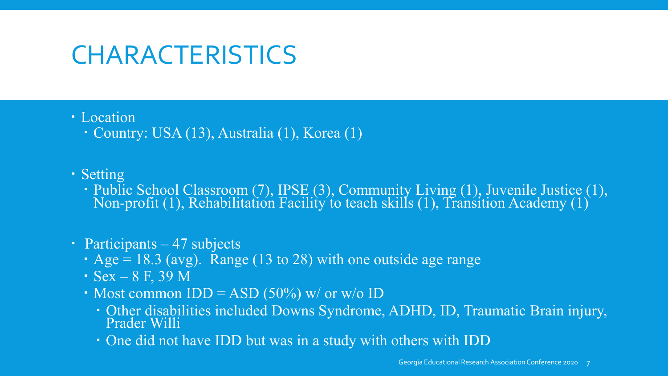## **CHARACTERISTICS**

### Location

Country: USA (13), Australia (1), Korea (1)

### Setting

 Public School Classroom (7), IPSE (3), Community Living (1), Juvenile Justice (1), Non-profit (1), Rehabilitation Facility to teach skills (1), Transition Academy (1)

### • Participants – 47 subjects

- $\cdot$  Age = 18.3 (avg). Range (13 to 28) with one outside age range
- $-$  Sex 8 F, 39 M
- Most common  $IDD = ASD (50\%)$  w/ or w/o  $ID$ 
	- Other disabilities included Downs Syndrome, ADHD, ID, Traumatic Brain injury, Prader Willi
	- One did not have IDD but was in a study with others with IDD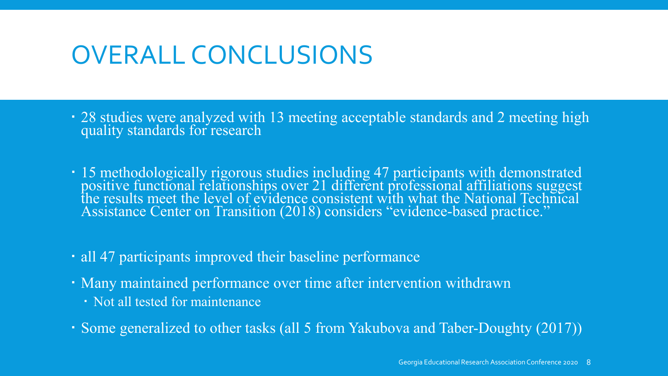## OVERALL CONCLUSIONS

- 28 studies were analyzed with 13 meeting acceptable standards and 2 meeting high quality standards for research
- 15 methodologically rigorous studies including 47 participants with demonstrated positive functional relationships over 21 different professional affiliations suggest<br>the results meet the level of evidence consistent with what the National Technical Assistance Center on Transition (2018) considers "evidence-based practice."
- all 47 participants improved their baseline performance
- Many maintained performance over time after intervention withdrawn
	- Not all tested for maintenance
- Some generalized to other tasks (all 5 from Yakubova and Taber-Doughty (2017))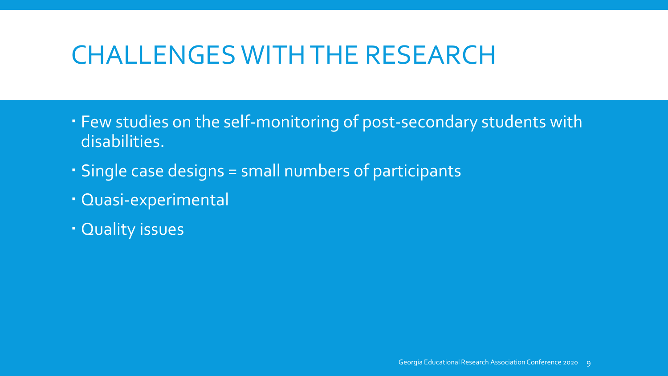## CHALLENGES WITH THE RESEARCH

- Few studies on the self-monitoring of post-secondary students with disabilities.
- Single case designs = small numbers of participants
- Quasi-experimental
- Quality issues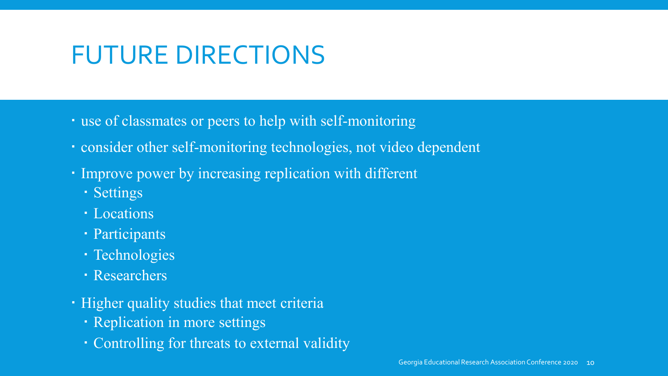# FUTURE DIRECTIONS

- use of classmates or peers to help with self-monitoring
- consider other self-monitoring technologies, not video dependent
- Improve power by increasing replication with different
	- Settings
	- Locations
	- Participants
	- · Technologies
	- Researchers
- Higher quality studies that meet criteria
	- Replication in more settings
	- Controlling for threats to external validity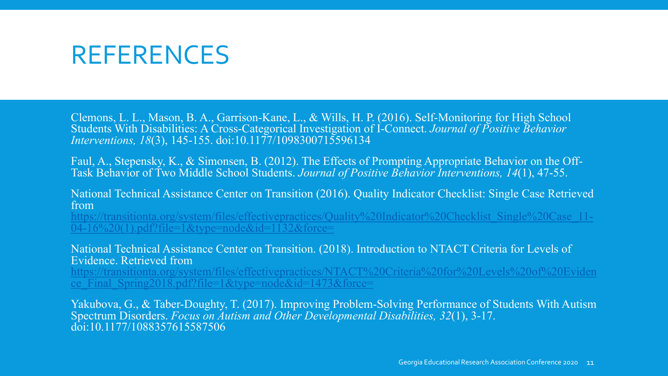### REFERENCES

Clemons, L. L., Mason, B. A., Garrison-Kane, L., & Wills, H. P. (2016). Self-Monitoring for High School Students With Disabilities: A Cross-Categorical Investigation of I-Connect. *Journal of Positive Behavior Interventions, 18*(3), 145-155. doi:10.1177/1098300715596134

Faul, A., Stepensky, K., & Simonsen, B. (2012). The Effects of Prompting Appropriate Behavior on the Off- Task Behavior of Two Middle School Students. *Journal of Positive Behavior Interventions, 14*(1), 47-55.

National Technical Assistance Center on Transition (2016). Quality Indicator Checklist: Single Case Retrieved from

[https://transitionta.org/system/files/effectivepractices/Quality%20Indicator%20Checklist\\_Single%20Case\\_11-](https://transitionta.org/system/files/effectivepractices/Quality%20Indicator%20Checklist_Single%20Case_11-04-16%20(1).pdf?file=1&type=node&id=1132&force=)  $04-16\%20(1)$ .pdf?file[=](https://transitionta.org/system/files/effectivepractices/Quality%20Indicator%20Checklist_Single%20Case_11-04-16%20(1).pdf?file=1&type=node&id=1132&force=)1&type=node&id=1132&force=

National Technical Assistance Center on Transition. (2018). Introduction to NTACT Criteria for Levels of Evidence. Retrieved from

[https://transitionta.org/system/files/effectivepractices/NTACT%20Criteria%20for%20Levels%20of%20Eviden](https://transitionta.org/system/files/effectivepractices/NTACT%20Criteria%20for%20Levels%20of%20Evidence_Final_Spring2018.pdf?file=1&type=node&id=1473&force=) ce Final Spring2018.pdf?file=1&type=node&id=1473&force=

Yakubova, G., & Taber-Doughty, T. (2017). Improving Problem-Solving Performance of Students With Autism Spectrum Disorders. *Focus on Autism and Other Developmental Disabilities, 32*(1), 3-17. doi:10.1177/1088357615587506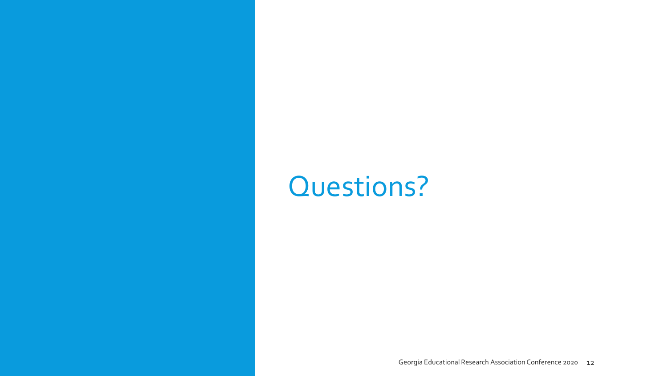# Questions?